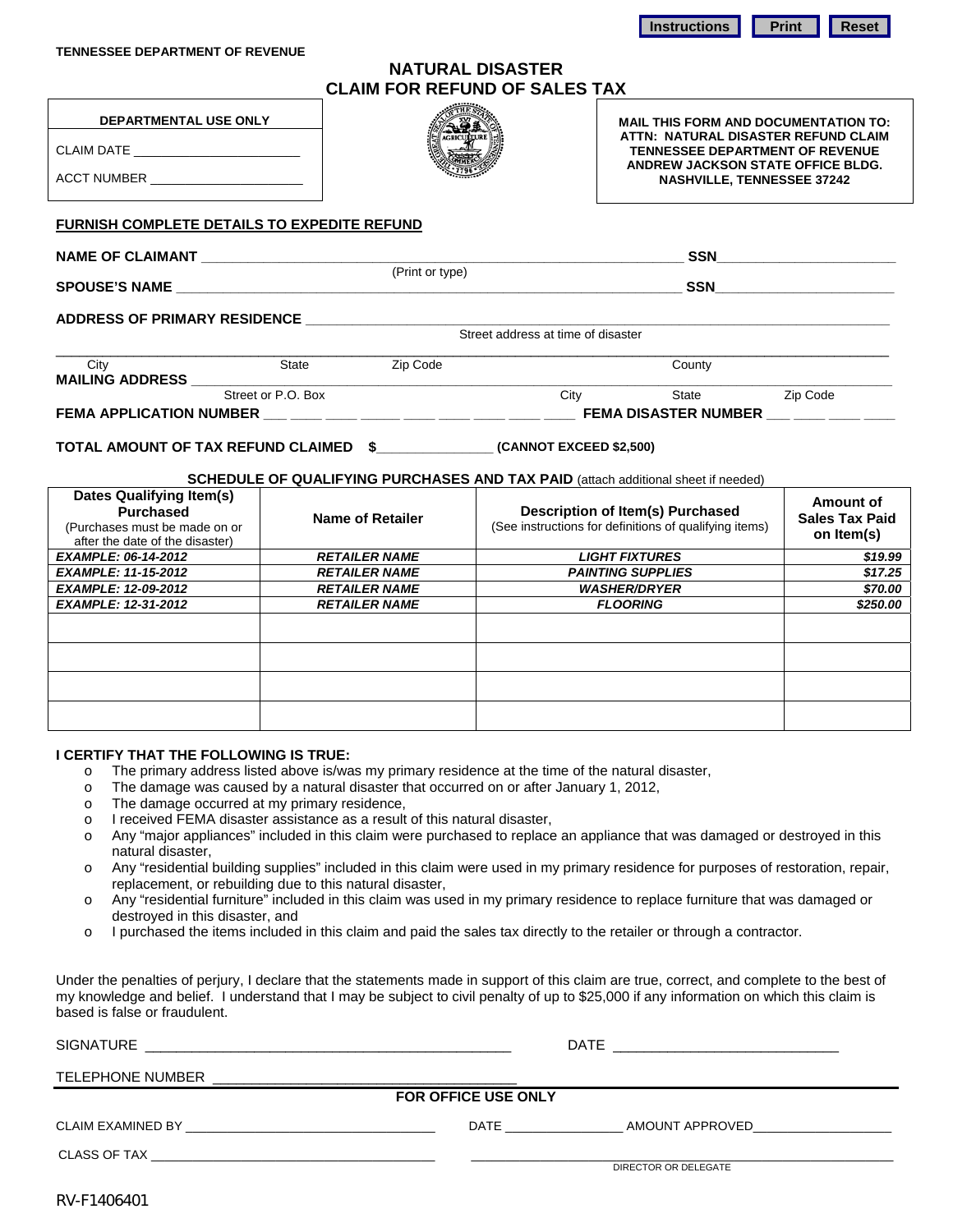**NATURAL DISASTER CLAIM FOR REFUND OF SALES TAX** 

Î

|            | DEPARTMENTAL USE ONLY |
|------------|-----------------------|
| CLAIM DATE |                       |

ACCT NUMBER

# **MAIL THIS FORM AND DOCUMENTATION TO:**

**ATTN: NATURAL DISASTER REFUND CLAIM TENNESSEE DEPARTMENT OF REVENUE ANDREW JACKSON STATE OFFICE BLDG. NASHVILLE, TENNESSEE 37242** 

**FURNISH COMPLETE DETAILS TO EXPEDITE REFUND** 

**NAME OF CLAIMANT \_\_\_\_\_\_\_\_\_\_\_\_\_\_\_\_\_\_\_\_\_\_\_\_\_\_\_\_\_\_\_\_\_\_\_\_\_\_\_\_\_\_\_\_\_\_\_\_\_\_\_\_\_\_\_\_\_\_\_\_\_\_ SSN\_\_\_\_\_\_\_\_\_\_\_\_\_\_\_\_\_\_\_\_\_\_\_** 

(Print or type)

**SPOUSE'S NAME and a structure of the structure of the structure of the structure of the structure of the structure of the structure of the structure of the structure of the structure of the structure of the structure of** 

**ADDRESS OF PRIMARY RESIDENCE \_\_\_\_\_\_\_\_\_\_\_\_\_\_\_\_\_\_\_\_\_\_\_\_\_\_\_\_\_\_\_\_\_\_\_\_\_\_\_\_\_\_\_\_\_\_\_\_\_\_\_\_\_\_\_\_\_\_\_\_\_\_\_\_\_\_\_\_\_\_\_\_\_\_\_** 

Street address at time of disaster

| Citv                           | State              | Zip Code |      | County                      |          |
|--------------------------------|--------------------|----------|------|-----------------------------|----------|
| <b>MAILING ADDRESS</b>         |                    |          |      |                             |          |
|                                | Street or P.O. Box |          | Cit∖ | State                       | Zip Code |
| <b>FEMA APPLICATION NUMBER</b> |                    |          |      | <b>FEMA DISASTER NUMBER</b> |          |

**TOTAL AMOUNT OF TAX REFUND CLAIMED \$\_\_\_\_\_\_\_\_\_\_\_\_\_\_\_ (CANNOT EXCEED \$2,500)** 

#### **SCHEDULE OF QUALIFYING PURCHASES AND TAX PAID** (attach additional sheet if needed)

| <b>Dates Qualifying Item(s)</b><br><b>Purchased</b><br>(Purchases must be made on or<br>after the date of the disaster) | Name of Retailer     | Description of Item(s) Purchased<br>(See instructions for definitions of qualifying items) | Amount of<br><b>Sales Tax Paid</b><br>on Item(s) |
|-------------------------------------------------------------------------------------------------------------------------|----------------------|--------------------------------------------------------------------------------------------|--------------------------------------------------|
| <b>EXAMPLE: 06-14-2012</b>                                                                                              | <b>RETAILER NAME</b> | <b>LIGHT FIXTURES</b>                                                                      | \$19.99                                          |
| <b>EXAMPLE: 11-15-2012</b>                                                                                              | <b>RETAILER NAME</b> | <b>PAINTING SUPPLIES</b>                                                                   | \$17.25                                          |
| <b>EXAMPLE: 12-09-2012</b>                                                                                              | <b>RETAILER NAME</b> | <b>WASHER/DRYER</b>                                                                        | \$70.00                                          |
| <b>EXAMPLE: 12-31-2012</b>                                                                                              | <b>RETAILER NAME</b> | <b>FLOORING</b>                                                                            | \$250.00                                         |
|                                                                                                                         |                      |                                                                                            |                                                  |
|                                                                                                                         |                      |                                                                                            |                                                  |
|                                                                                                                         |                      |                                                                                            |                                                  |
|                                                                                                                         |                      |                                                                                            |                                                  |

#### **I CERTIFY THAT THE FOLLOWING IS TRUE:**

- o The primary address listed above is/was my primary residence at the time of the natural disaster,
- o The damage was caused by a natural disaster that occurred on or after January 1, 2012,
- o The damage occurred at my primary residence,
- o I received FEMA disaster assistance as a result of this natural disaster,
- o Any "major appliances" included in this claim were purchased to replace an appliance that was damaged or destroyed in this natural disaster,
- o Any "residential building supplies" included in this claim were used in my primary residence for purposes of restoration, repair, replacement, or rebuilding due to this natural disaster,
- o Any "residential furniture" included in this claim was used in my primary residence to replace furniture that was damaged or destroyed in this disaster, and
- o I purchased the items included in this claim and paid the sales tax directly to the retailer or through a contractor.

Under the penalties of perjury, I declare that the statements made in support of this claim are true, correct, and complete to the best of my knowledge and belief. I understand that I may be subject to civil penalty of up to \$25,000 if any information on which this claim is based is false or fraudulent.

| <b>SIGNATURE</b><br><u> 1990 - Jan James James, politik eta idazleari (h. 1980).</u>                                                                                                                                                               | <b>DATE</b>             |
|----------------------------------------------------------------------------------------------------------------------------------------------------------------------------------------------------------------------------------------------------|-------------------------|
| TELEPHONE NUMBER                                                                                                                                                                                                                                   |                         |
| <b>FOR OFFICE USE ONLY</b>                                                                                                                                                                                                                         |                         |
| CLAIM EXAMINED BY<br>the control of the control of the control of the control of the control of the control of the control of the control of the control of the control of the control of the control of the control of the control of the control | DATE<br>AMOUNT APPROVED |
|                                                                                                                                                                                                                                                    | DIRECTOR OR DELEGATE    |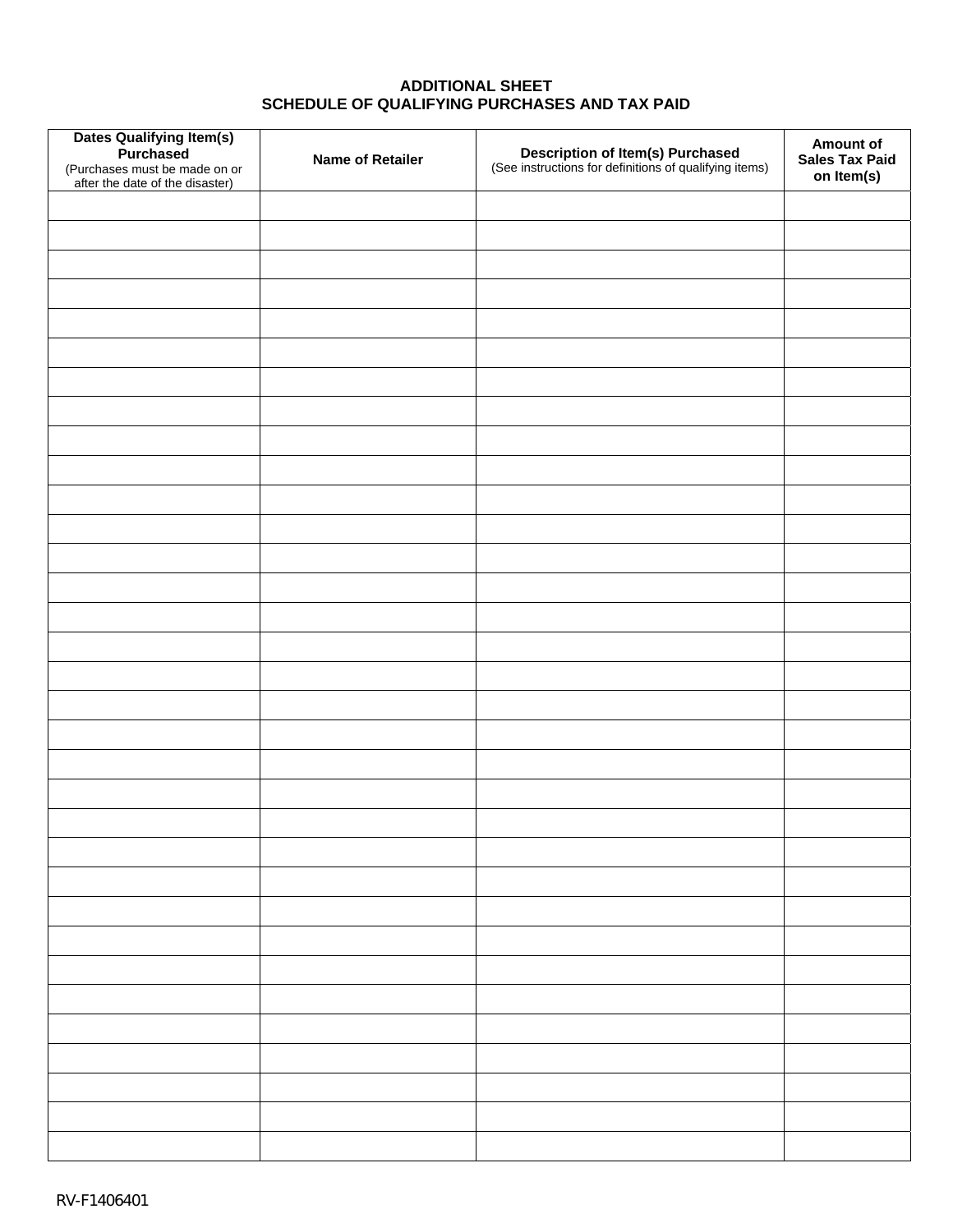# **ADDITIONAL SHEET SCHEDULE OF QUALIFYING PURCHASES AND TAX PAID**

| Dates Qualifying Item(s)<br>Purchased<br>(Purchases must be made on or<br>after the date of the disaster) | <b>Name of Retailer</b> | <b>Description of Item(s) Purchased</b><br>(See instructions for definitions of qualifying items) | Amount of<br><b>Sales Tax Paid</b><br>on Item(s) |
|-----------------------------------------------------------------------------------------------------------|-------------------------|---------------------------------------------------------------------------------------------------|--------------------------------------------------|
|                                                                                                           |                         |                                                                                                   |                                                  |
|                                                                                                           |                         |                                                                                                   |                                                  |
|                                                                                                           |                         |                                                                                                   |                                                  |
|                                                                                                           |                         |                                                                                                   |                                                  |
|                                                                                                           |                         |                                                                                                   |                                                  |
|                                                                                                           |                         |                                                                                                   |                                                  |
|                                                                                                           |                         |                                                                                                   |                                                  |
|                                                                                                           |                         |                                                                                                   |                                                  |
|                                                                                                           |                         |                                                                                                   |                                                  |
|                                                                                                           |                         |                                                                                                   |                                                  |
|                                                                                                           |                         |                                                                                                   |                                                  |
|                                                                                                           |                         |                                                                                                   |                                                  |
|                                                                                                           |                         |                                                                                                   |                                                  |
|                                                                                                           |                         |                                                                                                   |                                                  |
|                                                                                                           |                         |                                                                                                   |                                                  |
|                                                                                                           |                         |                                                                                                   |                                                  |
|                                                                                                           |                         |                                                                                                   |                                                  |
|                                                                                                           |                         |                                                                                                   |                                                  |
|                                                                                                           |                         |                                                                                                   |                                                  |
|                                                                                                           |                         |                                                                                                   |                                                  |
|                                                                                                           |                         |                                                                                                   |                                                  |
|                                                                                                           |                         |                                                                                                   |                                                  |
|                                                                                                           |                         |                                                                                                   |                                                  |
|                                                                                                           |                         |                                                                                                   |                                                  |
|                                                                                                           |                         |                                                                                                   |                                                  |
|                                                                                                           |                         |                                                                                                   |                                                  |
|                                                                                                           |                         |                                                                                                   |                                                  |
|                                                                                                           |                         |                                                                                                   |                                                  |
|                                                                                                           |                         |                                                                                                   |                                                  |
|                                                                                                           |                         |                                                                                                   |                                                  |
|                                                                                                           |                         |                                                                                                   |                                                  |
|                                                                                                           |                         |                                                                                                   |                                                  |
|                                                                                                           |                         |                                                                                                   |                                                  |
|                                                                                                           |                         |                                                                                                   |                                                  |